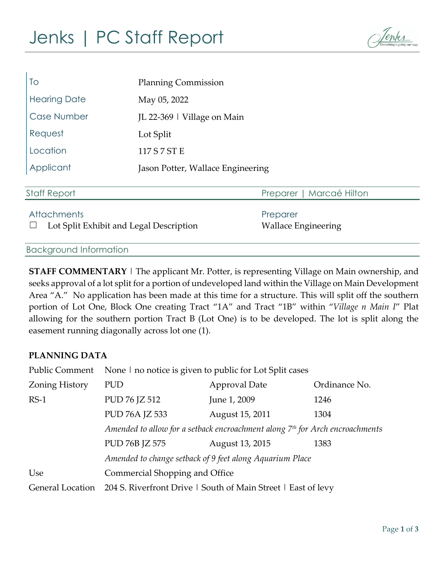# Jenks | PC Staff Report



| To                                                            | <b>Planning Commission</b>        |                                        |  |
|---------------------------------------------------------------|-----------------------------------|----------------------------------------|--|
| <b>Hearing Date</b>                                           | May 05, 2022                      |                                        |  |
| Case Number                                                   | JL 22-369   Village on Main       |                                        |  |
| Request                                                       | Lot Split                         |                                        |  |
| Location                                                      | 117 S 7 ST E                      |                                        |  |
| Applicant                                                     | Jason Potter, Wallace Engineering |                                        |  |
| <b>Staff Report</b>                                           |                                   | Marcaé Hilton<br>Preparer              |  |
| <b>Attachments</b><br>Lot Split Exhibit and Legal Description |                                   | Preparer<br><b>Wallace Engineering</b> |  |

Background Information

**STAFF COMMENTARY** | The applicant Mr. Potter, is representing Village on Main ownership, and seeks approval of a lot split for a portion of undeveloped land within the Village on Main Development Area "A." No application has been made at this time for a structure. This will split off the southern portion of Lot One, Block One creating Tract "1A" and Tract "1B" within "*Village n Main I*" Plat allowing for the southern portion Tract B (Lot One) is to be developed. The lot is split along the easement running diagonally across lot one (1).

### **PLANNING DATA**

| Public Comment          | None I no notice is given to public for Lot Split cases                                  |                      |               |  |
|-------------------------|------------------------------------------------------------------------------------------|----------------------|---------------|--|
| <b>Zoning History</b>   | PUD                                                                                      | <b>Approval Date</b> | Ordinance No. |  |
| $RS-1$                  | PUD 76 JZ 512                                                                            | June 1, 2009         | 1246          |  |
|                         | PUD 76A JZ 533                                                                           | August 15, 2011      | 1304          |  |
|                         | Amended to allow for a setback encroachment along 7 <sup>th</sup> for Arch encroachments |                      |               |  |
|                         | PUD 76B JZ 575                                                                           | August 13, 2015      | 1383          |  |
|                         | Amended to change setback of 9 feet along Aquarium Place                                 |                      |               |  |
| Use                     | Commercial Shopping and Office                                                           |                      |               |  |
| <b>General Location</b> | 204 S. Riverfront Drive   South of Main Street   East of levy                            |                      |               |  |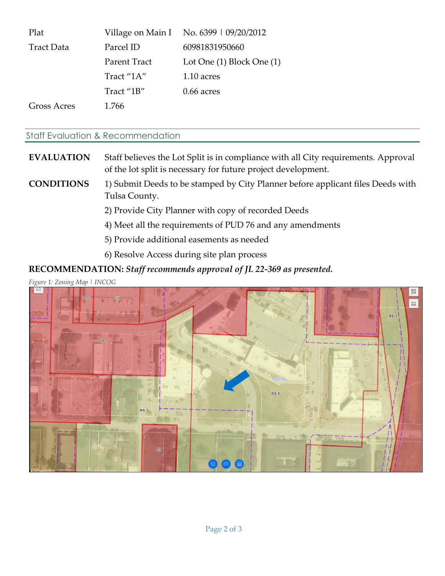| Plat               |              | Village on Main I No. 6399   09/20/2012 |
|--------------------|--------------|-----------------------------------------|
| <b>Tract Data</b>  | Parcel ID    | 60981831950660                          |
|                    | Parent Tract | Lot One $(1)$ Block One $(1)$           |
|                    | Tract "1A"   | 1.10 acres                              |
|                    | Tract "1B"   | $0.66$ acres                            |
| <b>Gross Acres</b> | 1.766        |                                         |

#### Staff Evaluation & Recommendation

# **EVALUATION** Staff believes the Lot Split is in compliance with all City requirements. Approval of the lot split is necessary for future project development.

## **CONDITIONS** 1) Submit Deeds to be stamped by City Planner before applicant files Deeds with Tulsa County.

2) Provide City Planner with copy of recorded Deeds

- 4) Meet all the requirements of PUD 76 and any amendments
- 5) Provide additional easements as needed
- 6) Resolve Access during site plan process

## **RECOMMENDATION:** *Staff recommends approval of JL 22-369 as presented.*

*Figure 1: Zoning Map | INCOG*